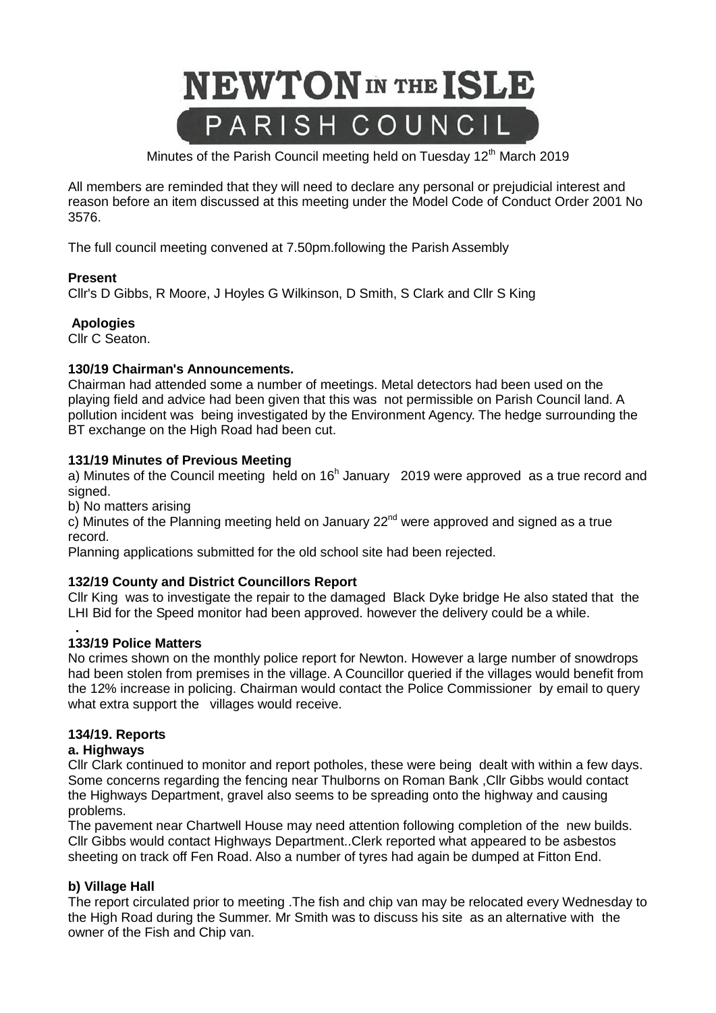

Minutes of the Parish Council meeting held on Tuesday 12<sup>th</sup> March 2019

All members are reminded that they will need to declare any personal or prejudicial interest and reason before an item discussed at this meeting under the Model Code of Conduct Order 2001 No 3576.

The full council meeting convened at 7.50pm.following the Parish Assembly

## **Present**

Cllr's D Gibbs, R Moore, J Hoyles G Wilkinson, D Smith, S Clark and Cllr S King

## **Apologies**

Cllr C Seaton.

## **130/19 Chairman's Announcements.**

Chairman had attended some a number of meetings. Metal detectors had been used on the playing field and advice had been given that this was not permissible on Parish Council land. A pollution incident was being investigated by the Environment Agency. The hedge surrounding the BT exchange on the High Road had been cut.

## **131/19 Minutes of Previous Meeting**

a) Minutes of the Council meeting held on  $16<sup>h</sup>$  January 2019 were approved as a true record and signed.

b) No matters arising

 $\dot{\rm c}$ ) Minutes of the Planning meeting held on January 22<sup>nd</sup> were approved and signed as a true record.

Planning applications submitted for the old school site had been rejected.

## **132/19 County and District Councillors Report**

Cllr King was to investigate the repair to the damaged Black Dyke bridge He also stated that the LHI Bid for the Speed monitor had been approved. however the delivery could be a while.

#### **. 133/19 Police Matters**

No crimes shown on the monthly police report for Newton. However a large number of snowdrops had been stolen from premises in the village. A Councillor queried if the villages would benefit from the 12% increase in policing. Chairman would contact the Police Commissioner by email to query what extra support the villages would receive.

## **134/19. Reports**

## **a. Highways**

Cllr Clark continued to monitor and report potholes, these were being dealt with within a few days. Some concerns regarding the fencing near Thulborns on Roman Bank ,Cllr Gibbs would contact the Highways Department, gravel also seems to be spreading onto the highway and causing problems.

The pavement near Chartwell House may need attention following completion of the new builds. Cllr Gibbs would contact Highways Department..Clerk reported what appeared to be asbestos sheeting on track off Fen Road. Also a number of tyres had again be dumped at Fitton End.

## **b) Village Hall**

The report circulated prior to meeting .The fish and chip van may be relocated every Wednesday to the High Road during the Summer. Mr Smith was to discuss his site as an alternative with the owner of the Fish and Chip van.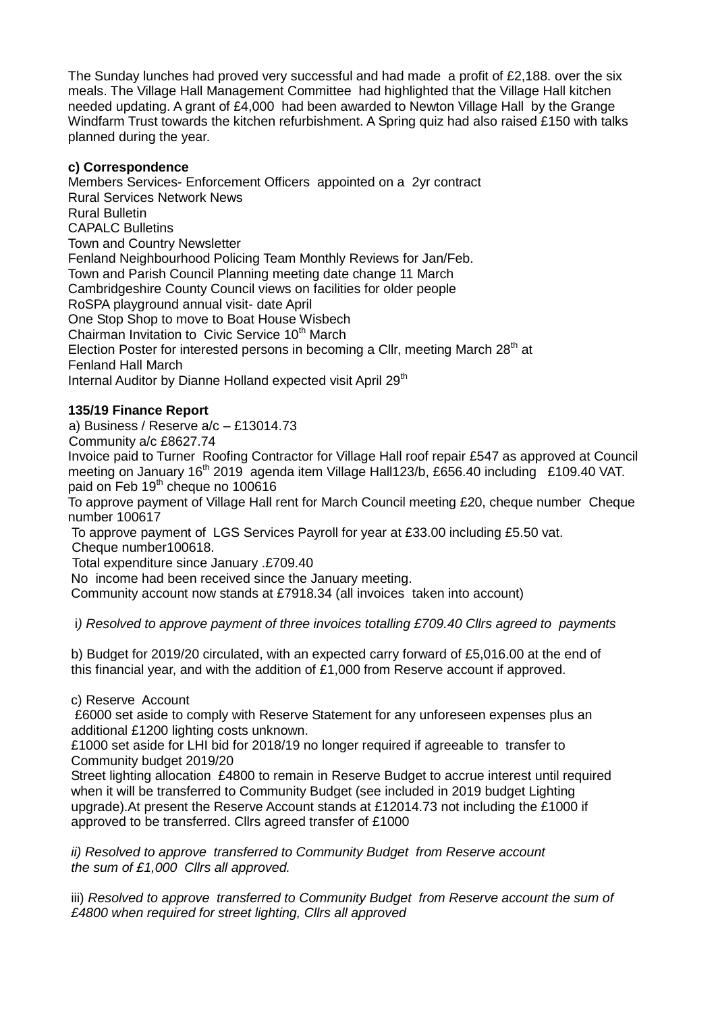The Sunday lunches had proved very successful and had made a profit of £2,188. over the six meals. The Village Hall Management Committee had highlighted that the Village Hall kitchen needed updating. A grant of £4,000 had been awarded to Newton Village Hall by the Grange Windfarm Trust towards the kitchen refurbishment. A Spring quiz had also raised £150 with talks planned during the year.

# **c) Correspondence**

Members Services- Enforcement Officers appointed on a 2yr contract Rural Services Network News Rural Bulletin CAPALC Bulletins Town and Country Newsletter Fenland Neighbourhood Policing Team Monthly Reviews for Jan/Feb. Town and Parish Council Planning meeting date change 11 March Cambridgeshire County Council views on facilities for older people RoSPA playground annual visit- date April One Stop Shop to move to Boat House Wisbech Chairman Invitation to Civic Service 10<sup>th</sup> March Election Poster for interested persons in becoming a Cllr, meeting March 28<sup>th</sup> at Fenland Hall March

Internal Auditor by Dianne Holland expected visit April 29<sup>th</sup>

## **135/19 Finance Report**

a) Business / Reserve a/c – £13014.73

Community a/c £8627.74

Invoice paid to Turner Roofing Contractor for Village Hall roof repair £547 as approved at Council meeting on January 16<sup>th</sup> 2019 agenda item Village Hall123/b, £656.40 including £109.40 VAT. paid on Feb 19<sup>th</sup> cheque no 100616

To approve payment of Village Hall rent for March Council meeting £20, cheque number Cheque number 100617

To approve payment of LGS Services Payroll for year at £33.00 including £5.50 vat. Cheque number100618.

Total expenditure since January .£709.40

No income had been received since the January meeting.

Community account now stands at £7918.34 (all invoices taken into account)

i*) Resolved to approve payment of three invoices totalling £709.40 Cllrs agreed to payments*

b) Budget for 2019/20 circulated, with an expected carry forward of £5,016.00 at the end of this financial year, and with the addition of £1,000 from Reserve account if approved.

## c) Reserve Account

£6000 set aside to comply with Reserve Statement for any unforeseen expenses plus an additional £1200 lighting costs unknown.

£1000 set aside for LHI bid for 2018/19 no longer required if agreeable to transfer to Community budget 2019/20

Street lighting allocation £4800 to remain in Reserve Budget to accrue interest until required when it will be transferred to Community Budget (see included in 2019 budget Lighting upgrade).At present the Reserve Account stands at £12014.73 not including the £1000 if approved to be transferred. Cllrs agreed transfer of £1000

*ii) Resolved to approve transferred to Community Budget from Reserve account the sum of £1,000 Cllrs all approved.*

iii) *Resolved to approve transferred to Community Budget from Reserve account the sum of £4800 when required for street lighting, Cllrs all approved*